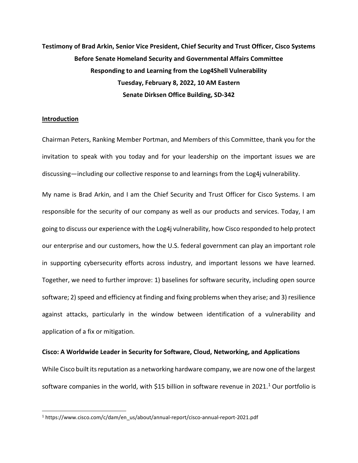# Testimony of Brad Arkin, Senior Vice President, Chief Security and Trust Officer, Cisco Systems Before Senate Homeland Security and Governmental Affairs Committee Responding to and Learning from the Log4Shell Vulnerability Tuesday, February 8, 2022, 10 AM Eastern Senate Dirksen Office Building, SD-342

#### Introduction

Chairman Peters, Ranking Member Portman, and Members of this Committee, thank you for the invitation to speak with you today and for your leadership on the important issues we are discussing—including our collective response to and learnings from the Log4j vulnerability.

My name is Brad Arkin, and I am the Chief Security and Trust Officer for Cisco Systems. I am responsible for the security of our company as well as our products and services. Today, I am going to discuss our experience with the Log4j vulnerability, how Cisco responded to help protect our enterprise and our customers, how the U.S. federal government can play an important role in supporting cybersecurity efforts across industry, and important lessons we have learned. Together, we need to further improve: 1) baselines for software security, including open source software; 2) speed and efficiency at finding and fixing problems when they arise; and 3) resilience against attacks, particularly in the window between identification of a vulnerability and application of a fix or mitigation.

#### Cisco: A Worldwide Leader in Security for Software, Cloud, Networking, and Applications

While Cisco built its reputation as a networking hardware company, we are now one of the largest software companies in the world, with \$15 billion in software revenue in 2021.<sup>1</sup> Our portfolio is

<sup>1</sup> https://www.cisco.com/c/dam/en\_us/about/annual-report/cisco-annual-report-2021.pdf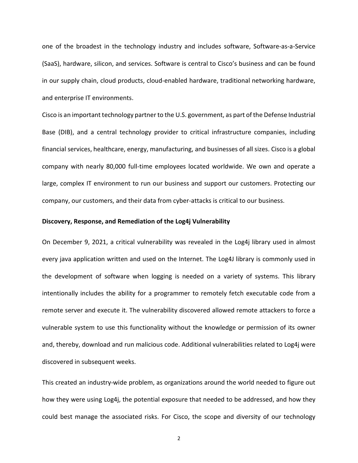one of the broadest in the technology industry and includes software, Software-as-a-Service (SaaS), hardware, silicon, and services. Software is central to Cisco's business and can be found in our supply chain, cloud products, cloud-enabled hardware, traditional networking hardware, and enterprise IT environments.

Cisco is an important technology partner to the U.S. government, as part of the Defense Industrial Base (DIB), and a central technology provider to critical infrastructure companies, including financial services, healthcare, energy, manufacturing, and businesses of all sizes. Cisco is a global company with nearly 80,000 full-time employees located worldwide. We own and operate a large, complex IT environment to run our business and support our customers. Protecting our company, our customers, and their data from cyber-attacks is critical to our business.

## Discovery, Response, and Remediation of the Log4j Vulnerability

On December 9, 2021, a critical vulnerability was revealed in the Log4j library used in almost every java application written and used on the Internet. The Log4J library is commonly used in the development of software when logging is needed on a variety of systems. This library intentionally includes the ability for a programmer to remotely fetch executable code from a remote server and execute it. The vulnerability discovered allowed remote attackers to force a vulnerable system to use this functionality without the knowledge or permission of its owner and, thereby, download and run malicious code. Additional vulnerabilities related to Log4j were discovered in subsequent weeks.

This created an industry-wide problem, as organizations around the world needed to figure out how they were using Log4j, the potential exposure that needed to be addressed, and how they could best manage the associated risks. For Cisco, the scope and diversity of our technology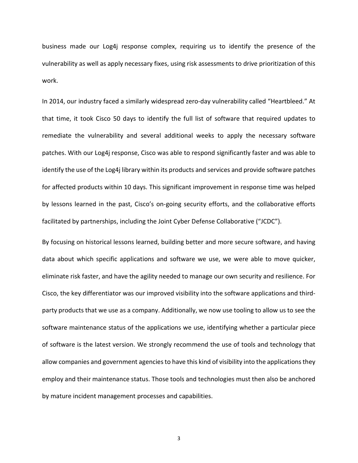business made our Log4j response complex, requiring us to identify the presence of the vulnerability as well as apply necessary fixes, using risk assessments to drive prioritization of this work.

In 2014, our industry faced a similarly widespread zero-day vulnerability called "Heartbleed." At that time, it took Cisco 50 days to identify the full list of software that required updates to remediate the vulnerability and several additional weeks to apply the necessary software patches. With our Log4j response, Cisco was able to respond significantly faster and was able to identify the use of the Log4j library within its products and services and provide software patches for affected products within 10 days. This significant improvement in response time was helped by lessons learned in the past, Cisco's on-going security efforts, and the collaborative efforts facilitated by partnerships, including the Joint Cyber Defense Collaborative ("JCDC").

By focusing on historical lessons learned, building better and more secure software, and having data about which specific applications and software we use, we were able to move quicker, eliminate risk faster, and have the agility needed to manage our own security and resilience. For Cisco, the key differentiator was our improved visibility into the software applications and thirdparty products that we use as a company. Additionally, we now use tooling to allow us to see the software maintenance status of the applications we use, identifying whether a particular piece of software is the latest version. We strongly recommend the use of tools and technology that allow companies and government agencies to have this kind of visibility into the applications they employ and their maintenance status. Those tools and technologies must then also be anchored by mature incident management processes and capabilities.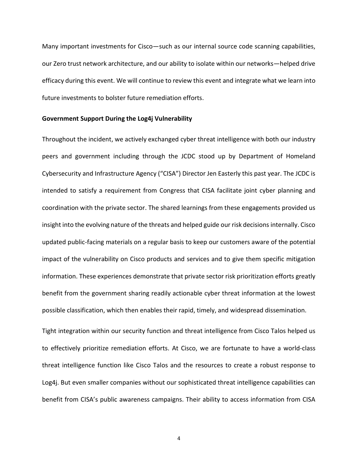Many important investments for Cisco—such as our internal source code scanning capabilities, our Zero trust network architecture, and our ability to isolate within our networks—helped drive efficacy during this event. We will continue to review this event and integrate what we learn into future investments to bolster future remediation efforts.

#### Government Support During the Log4j Vulnerability

Throughout the incident, we actively exchanged cyber threat intelligence with both our industry peers and government including through the JCDC stood up by Department of Homeland Cybersecurity and Infrastructure Agency ("CISA") Director Jen Easterly this past year. The JCDC is intended to satisfy a requirement from Congress that CISA facilitate joint cyber planning and coordination with the private sector. The shared learnings from these engagements provided us insight into the evolving nature of the threats and helped guide our risk decisions internally. Cisco updated public-facing materials on a regular basis to keep our customers aware of the potential impact of the vulnerability on Cisco products and services and to give them specific mitigation information. These experiences demonstrate that private sector risk prioritization efforts greatly benefit from the government sharing readily actionable cyber threat information at the lowest possible classification, which then enables their rapid, timely, and widespread dissemination.

Tight integration within our security function and threat intelligence from Cisco Talos helped us to effectively prioritize remediation efforts. At Cisco, we are fortunate to have a world-class threat intelligence function like Cisco Talos and the resources to create a robust response to Log4j. But even smaller companies without our sophisticated threat intelligence capabilities can benefit from CISA's public awareness campaigns. Their ability to access information from CISA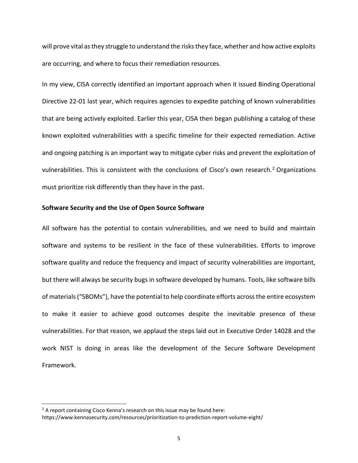will prove vital as they struggle to understand the risks they face, whether and how active exploits are occurring, and where to focus their remediation resources.

In my view, CISA correctly identified an important approach when it issued Binding Operational Directive 22-01 last year, which requires agencies to expedite patching of known vulnerabilities that are being actively exploited. Earlier this year, CISA then began publishing a catalog of these known exploited vulnerabilities with a specific timeline for their expected remediation. Active and ongoing patching is an important way to mitigate cyber risks and prevent the exploitation of vulnerabilities. This is consistent with the conclusions of Cisco's own research.<sup>2</sup> Organizations must prioritize risk differently than they have in the past.

## Software Security and the Use of Open Source Software

All software has the potential to contain vulnerabilities, and we need to build and maintain software and systems to be resilient in the face of these vulnerabilities. Efforts to improve software quality and reduce the frequency and impact of security vulnerabilities are important, but there will always be security bugs in software developed by humans. Tools, like software bills of materials ("SBOMs"), have the potential to help coordinate efforts across the entire ecosystem to make it easier to achieve good outcomes despite the inevitable presence of these vulnerabilities. For that reason, we applaud the steps laid out in Executive Order 14028 and the work NIST is doing in areas like the development of the Secure Software Development Framework.

 $2A$  report containing Cisco Kenna's research on this issue may be found here: https://www.kennasecurity.com/resources/prioritization-to-prediction-report-volume-eight/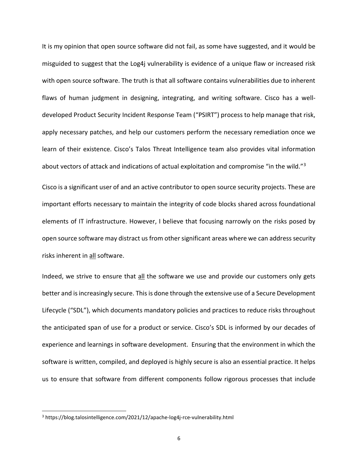It is my opinion that open source software did not fail, as some have suggested, and it would be misguided to suggest that the Log4j vulnerability is evidence of a unique flaw or increased risk with open source software. The truth is that all software contains vulnerabilities due to inherent flaws of human judgment in designing, integrating, and writing software. Cisco has a welldeveloped Product Security Incident Response Team ("PSIRT") process to help manage that risk, apply necessary patches, and help our customers perform the necessary remediation once we learn of their existence. Cisco's Talos Threat Intelligence team also provides vital information about vectors of attack and indications of actual exploitation and compromise "in the wild."<sup>3</sup>

Cisco is a significant user of and an active contributor to open source security projects. These are important efforts necessary to maintain the integrity of code blocks shared across foundational elements of IT infrastructure. However, I believe that focusing narrowly on the risks posed by open source software may distract us from other significant areas where we can address security risks inherent in all software.

Indeed, we strive to ensure that all the software we use and provide our customers only gets better and is increasingly secure. This is done through the extensive use of a Secure Development Lifecycle ("SDL"), which documents mandatory policies and practices to reduce risks throughout the anticipated span of use for a product or service. Cisco's SDL is informed by our decades of experience and learnings in software development. Ensuring that the environment in which the software is written, compiled, and deployed is highly secure is also an essential practice. It helps us to ensure that software from different components follow rigorous processes that include

<sup>&</sup>lt;sup>3</sup> https://blog.talosintelligence.com/2021/12/apache-log4j-rce-vulnerability.html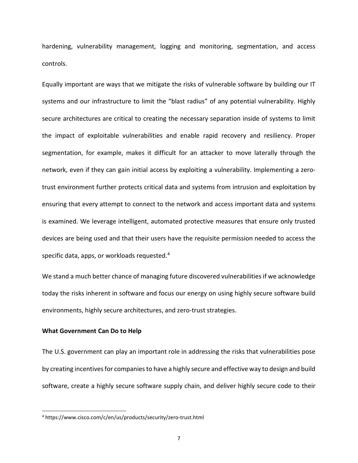hardening, vulnerability management, logging and monitoring, segmentation, and access controls.

Equally important are ways that we mitigate the risks of vulnerable software by building our IT systems and our infrastructure to limit the "blast radius" of any potential vulnerability. Highly secure architectures are critical to creating the necessary separation inside of systems to limit the impact of exploitable vulnerabilities and enable rapid recovery and resiliency. Proper segmentation, for example, makes it difficult for an attacker to move laterally through the network, even if they can gain initial access by exploiting a vulnerability. Implementing a zerotrust environment further protects critical data and systems from intrusion and exploitation by ensuring that every attempt to connect to the network and access important data and systems is examined. We leverage intelligent, automated protective measures that ensure only trusted devices are being used and that their users have the requisite permission needed to access the specific data, apps, or workloads requested.<sup>4</sup>

We stand a much better chance of managing future discovered vulnerabilities if we acknowledge today the risks inherent in software and focus our energy on using highly secure software build environments, highly secure architectures, and zero-trust strategies.

## What Government Can Do to Help

The U.S. government can play an important role in addressing the risks that vulnerabilities pose by creating incentives for companies to have a highly secure and effective way to design and build software, create a highly secure software supply chain, and deliver highly secure code to their

<sup>4</sup> https://www.cisco.com/c/en/us/products/security/zero-trust.html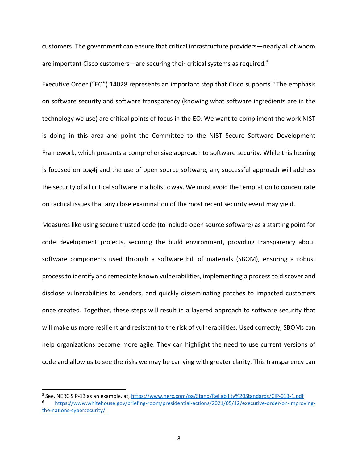customers. The government can ensure that critical infrastructure providers—nearly all of whom are important Cisco customers—are securing their critical systems as required.<sup>5</sup>

Executive Order ("EO") 14028 represents an important step that Cisco supports.<sup>6</sup> The emphasis on software security and software transparency (knowing what software ingredients are in the technology we use) are critical points of focus in the EO. We want to compliment the work NIST is doing in this area and point the Committee to the NIST Secure Software Development Framework, which presents a comprehensive approach to software security. While this hearing is focused on Log4j and the use of open source software, any successful approach will address the security of all critical software in a holistic way. We must avoid the temptation to concentrate on tactical issues that any close examination of the most recent security event may yield.

Measures like using secure trusted code (to include open source software) as a starting point for code development projects, securing the build environment, providing transparency about software components used through a software bill of materials (SBOM), ensuring a robust process to identify and remediate known vulnerabilities, implementing a process to discover and disclose vulnerabilities to vendors, and quickly disseminating patches to impacted customers once created. Together, these steps will result in a layered approach to software security that will make us more resilient and resistant to the risk of vulnerabilities. Used correctly, SBOMs can help organizations become more agile. They can highlight the need to use current versions of code and allow us to see the risks we may be carrying with greater clarity. This transparency can

<sup>&</sup>lt;sup>5</sup> See, NERC SIP-13 as an example, at, https://www.nerc.com/pa/Stand/Reliability%20Standards/CIP-013-1.pdf

<sup>6</sup> https://www.whitehouse.gov/briefing-room/presidential-actions/2021/05/12/executive-order-on-improvingthe-nations-cybersecurity/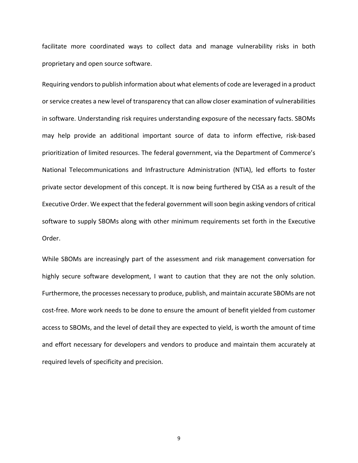facilitate more coordinated ways to collect data and manage vulnerability risks in both proprietary and open source software.

Requiring vendors to publish information about what elements of code are leveraged in a product or service creates a new level of transparency that can allow closer examination of vulnerabilities in software. Understanding risk requires understanding exposure of the necessary facts. SBOMs may help provide an additional important source of data to inform effective, risk-based prioritization of limited resources. The federal government, via the Department of Commerce's National Telecommunications and Infrastructure Administration (NTIA), led efforts to foster private sector development of this concept. It is now being furthered by CISA as a result of the Executive Order. We expect that the federal government will soon begin asking vendors of critical software to supply SBOMs along with other minimum requirements set forth in the Executive Order.

While SBOMs are increasingly part of the assessment and risk management conversation for highly secure software development, I want to caution that they are not the only solution. Furthermore, the processes necessary to produce, publish, and maintain accurate SBOMs are not cost-free. More work needs to be done to ensure the amount of benefit yielded from customer access to SBOMs, and the level of detail they are expected to yield, is worth the amount of time and effort necessary for developers and vendors to produce and maintain them accurately at required levels of specificity and precision.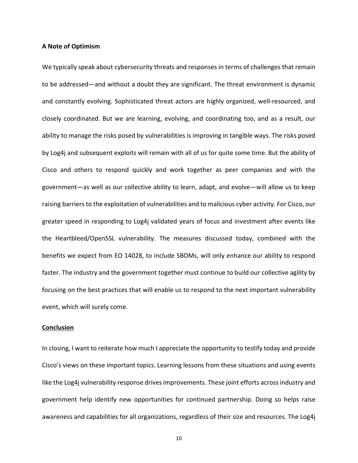#### A Note of Optimism

We typically speak about cybersecurity threats and responses in terms of challenges that remain to be addressed—and without a doubt they are significant. The threat environment is dynamic and constantly evolving. Sophisticated threat actors are highly organized, well-resourced, and closely coordinated. But we are learning, evolving, and coordinating too, and as a result, our ability to manage the risks posed by vulnerabilities is improving in tangible ways. The risks posed by Log4j and subsequent exploits will remain with all of us for quite some time. But the ability of Cisco and others to respond quickly and work together as peer companies and with the government—as well as our collective ability to learn, adapt, and evolve—will allow us to keep raising barriers to the exploitation of vulnerabilities and to malicious cyber activity. For Cisco, our greater speed in responding to Log4j validated years of focus and investment after events like the Heartbleed/OpenSSL vulnerability. The measures discussed today, combined with the benefits we expect from EO 14028, to include SBOMs, will only enhance our ability to respond faster. The industry and the government together must continue to build our collective agility by focusing on the best practices that will enable us to respond to the next important vulnerability event, which will surely come.

### **Conclusion**

In closing, I want to reiterate how much I appreciate the opportunity to testify today and provide Cisco's views on these important topics. Learning lessons from these situations and using events like the Log4j vulnerability response drives improvements. These joint efforts across industry and government help identify new opportunities for continued partnership. Doing so helps raise awareness and capabilities for all organizations, regardless of their size and resources. The Log4j